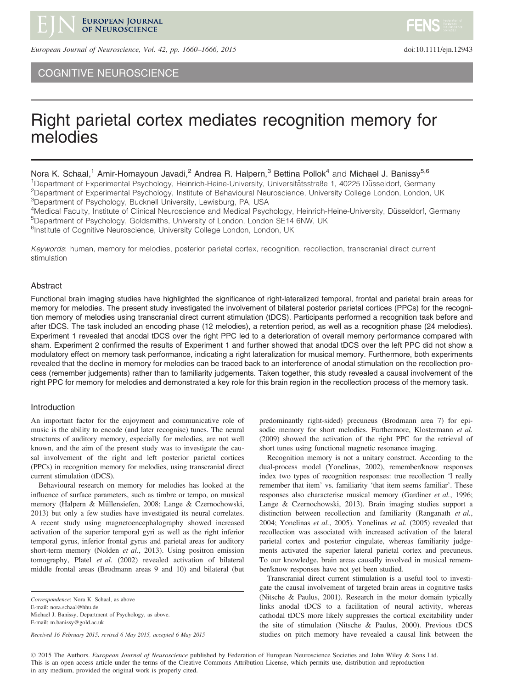

European Journal of Neuroscience, Vol. 42, pp. 1660–1666, 2015 doi:10.1111/ejn.12943

## COGNITIVE NEUROSCIENCE

# Right parietal cortex mediates recognition memory for melodies

Nora K. Schaal,<sup>1</sup> Amir-Homayoun Javadi,<sup>2</sup> Andrea R. Halpern,<sup>3</sup> Bettina Pollok<sup>4</sup> and Michael J. Banissy<sup>5,6</sup> 1Department of Experimental Psychology, Heinrich-Heine-University, Universitätsstraße 1, 40225 Düsseldorf, Germany<br><sup>2</sup>Department of Experimental Psychology, Institute of Behavioural Neuroscience, University Cellege Landen, <sup>2</sup>Department of Experimental Psychology, Institute of Behavioural Neuroscience, University College London, London, UK <sup>3</sup>Department of Psychology, Bucknell University, Lewisburg, PA, USA

<sup>4</sup>Medical Faculty, Institute of Clinical Neuroscience and Medical Psychology, Heinrich-Heine-University, Düsseldorf, Germany<br><sup>5</sup>Department of Psychology, Goldsmiths, University of London, London SE14 6NW, UK <sup>5</sup>Department of Psychology, Goldsmiths, University of London, London SE14 6NW, UK <sup>6</sup>Institute of Cognitive Neuroscience, University College London, London, UK

Keywords: human, memory for melodies, posterior parietal cortex, recognition, recollection, transcranial direct current stimulation

## Abstract

Functional brain imaging studies have highlighted the significance of right-lateralized temporal, frontal and parietal brain areas for memory for melodies. The present study investigated the involvement of bilateral posterior parietal cortices (PPCs) for the recognition memory of melodies using transcranial direct current stimulation (tDCS). Participants performed a recognition task before and after tDCS. The task included an encoding phase (12 melodies), a retention period, as well as a recognition phase (24 melodies). Experiment 1 revealed that anodal tDCS over the right PPC led to a deterioration of overall memory performance compared with sham. Experiment 2 confirmed the results of Experiment 1 and further showed that anodal tDCS over the left PPC did not show a modulatory effect on memory task performance, indicating a right lateralization for musical memory. Furthermore, both experiments revealed that the decline in memory for melodies can be traced back to an interference of anodal stimulation on the recollection process (remember judgements) rather than to familiarity judgements. Taken together, this study revealed a causal involvement of the right PPC for memory for melodies and demonstrated a key role for this brain region in the recollection process of the memory task.

## Introduction

An important factor for the enjoyment and communicative role of music is the ability to encode (and later recognise) tunes. The neural structures of auditory memory, especially for melodies, are not well known, and the aim of the present study was to investigate the causal involvement of the right and left posterior parietal cortices (PPCs) in recognition memory for melodies, using transcranial direct current stimulation (tDCS).

Behavioural research on memory for melodies has looked at the influence of surface parameters, such as timbre or tempo, on musical memory (Halpern & Müllensiefen, 2008; Lange & Czernochowski, 2013) but only a few studies have investigated its neural correlates. A recent study using magnetoencephalography showed increased activation of the superior temporal gyri as well as the right inferior temporal gyrus, inferior frontal gyrus and parietal areas for auditory short-term memory (Nolden et al., 2013). Using positron emission tomography, Platel et al. (2002) revealed activation of bilateral middle frontal areas (Brodmann areas 9 and 10) and bilateral (but

Michael J. Banissy, Department of Psychology, as above. E-mail: m.banissy@gold.ac.uk

Received 16 February 2015, revised 6 May 2015, accepted 6 May 2015

predominantly right-sided) precuneus (Brodmann area 7) for episodic memory for short melodies. Furthermore, Klostermann et al. (2009) showed the activation of the right PPC for the retrieval of short tunes using functional magnetic resonance imaging.

Recognition memory is not a unitary construct. According to the dual-process model (Yonelinas, 2002), remember/know responses index two types of recognition responses: true recollection 'I really remember that item' vs. familiarity 'that item seems familiar'. These responses also characterise musical memory (Gardiner et al., 1996; Lange & Czernochowski, 2013). Brain imaging studies support a distinction between recollection and familiarity (Ranganath et al., 2004; Yonelinas et al., 2005). Yonelinas et al. (2005) revealed that recollection was associated with increased activation of the lateral parietal cortex and posterior cingulate, whereas familiarity judgements activated the superior lateral parietal cortex and precuneus. To our knowledge, brain areas causally involved in musical remember/know responses have not yet been studied.

Transcranial direct current stimulation is a useful tool to investigate the causal involvement of targeted brain areas in cognitive tasks (Nitsche & Paulus, 2001). Research in the motor domain typically links anodal tDCS to a facilitation of neural activity, whereas cathodal tDCS more likely suppresses the cortical excitability under the site of stimulation (Nitsche & Paulus, 2000). Previous tDCS studies on pitch memory have revealed a causal link between the

© 2015 The Authors. European Journal of Neuroscience published by Federation of European Neuroscience Societies and John Wiley & Sons Ltd. This is an open access article under the terms of the [Creative Commons Attribution](http://creativecommons.org/licenses/by/4.0/) License, which permits use, distribution and reproduction in any medium, provided the original work is properly cited.

Correspondence: Nora K. Schaal, as above

E-mail: nora.schaal@hhu.de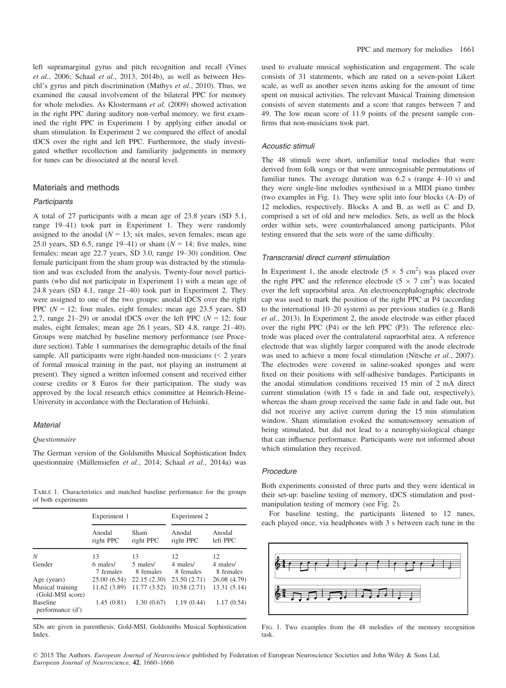left supramarginal gyrus and pitch recognition and recall (Vines et al., 2006; Schaal et al., 2013, 2014b), as well as between Heschl's gyrus and pitch discrimination (Mathys et al., 2010). Thus, we examined the causal involvement of the bilateral PPC for memory for whole melodies. As Klostermann et al. (2009) showed activation in the right PPC during auditory non-verbal memory, we first examined the right PPC in Experiment 1 by applying either anodal or sham stimulation. In Experiment 2 we compared the effect of anodal tDCS over the right and left PPC. Furthermore, the study investigated whether recollection and familiarity judgements in memory for tunes can be dissociated at the neural level.

## Materials and methods

## **Participants**

A total of 27 participants with a mean age of 23.8 years (SD 5.1, range 19–41) took part in Experiment 1. They were randomly assigned to the anodal ( $N = 13$ ; six males, seven females; mean age 25.0 years, SD 6.5, range 19–41) or sham  $(N = 14$ ; five males, nine females; mean age 22.7 years, SD 3.0, range 19–30) condition. One female participant from the sham group was distracted by the stimulation and was excluded from the analysis. Twenty-four novel participants (who did not participate in Experiment 1) with a mean age of 24.8 years (SD 4.1, range 21–40) took part in Experiment 2. They were assigned to one of the two groups: anodal tDCS over the right PPC ( $N = 12$ ; four males, eight females; mean age 23.5 years, SD 2.7, range 21–29) or anodal tDCS over the left PPC ( $N = 12$ ; four males, eight females; mean age 26.1 years, SD 4.8, range 21–40). Groups were matched by baseline memory performance (see Procedure section). Table 1 summarises the demographic details of the final sample. All participants were right-handed non-musicians (< 2 years of formal musical training in the past, not playing an instrument at present). They signed a written informed consent and received either course credits or 8 Euros for their participation. The study was approved by the local research ethics committee at Heinrich-Heine-University in accordance with the Declaration of Helsinki.

## **Material**

#### Questionnaire

The German version of the Goldsmiths Musical Sophistication Index questionnaire (Müllensiefen et al., 2014; Schaal et al., 2014a) was

Table 1. Characteristics and matched baseline performance for the groups of both experiments

|                                      | Experiment 1          |                       | Experiment 2          |                       |
|--------------------------------------|-----------------------|-----------------------|-----------------------|-----------------------|
|                                      | Anodal<br>right PPC   | Sham<br>right PPC     | Anodal<br>right PPC   | Anodal<br>left PPC    |
| Ν                                    | 13                    | 13                    | 12                    | 12                    |
| Gender                               | 6 males/<br>7 females | 5 males/<br>8 females | 4 males/<br>8 females | 4 males/<br>8 females |
| Age (years)                          | 25.00 (6.54)          | 22.15(2.30)           | 23.50(2.71)           | 26.08 (4.79)          |
| Musical training<br>(Gold-MSI score) | 11.62 (3.89)          | 11.77 (3.52)          | 10.58(2.71)           | 13.31 (5.14)          |
| <b>Baseline</b><br>performance (d')  | 1.45(0.81)            | 1.30(0.67)            | 1.19(0.44)            | 1.17(0.54)            |

SDs are given in parenthesis. Gold-MSI, Goldsmiths Musical Sophistication Index.

used to evaluate musical sophistication and engagement. The scale consists of 31 statements, which are rated on a seven-point Likert scale, as well as another seven items asking for the amount of time spent on musical activities. The relevant Musical Training dimension consists of seven statements and a score that ranges between 7 and 49. The low mean score of 11.9 points of the present sample confirms that non-musicians took part.

#### Acoustic stimuli

The 48 stimuli were short, unfamiliar tonal melodies that were derived from folk songs or that were unrecognisable permutations of familiar tunes. The average duration was  $6.2$  s (range  $4-10$  s) and they were single-line melodies synthesised in a MIDI piano timbre (two examples in Fig. 1). They were split into four blocks (A–D) of 12 melodies, respectively. Blocks A and B, as well as C and D, comprised a set of old and new melodies. Sets, as well as the block order within sets, were counterbalanced among participants. Pilot testing ensured that the sets were of the same difficulty.

## Transcranial direct current stimulation

In Experiment 1, the anode electrode  $(5 \times 5 \text{ cm}^2)$  was placed over the right PPC and the reference electrode  $(5 \times 7 \text{ cm}^2)$  was located over the left supraorbital area. An electroencephalographic electrode cap was used to mark the position of the right PPC at P4 (according to the international 10–20 system) as per previous studies (e.g. Bardi et al., 2013). In Experiment 2, the anode electrode was either placed over the right PPC (P4) or the left PPC (P3). The reference electrode was placed over the contralateral supraorbital area. A reference electrode that was slightly larger compared with the anode electrode was used to achieve a more focal stimulation (Nitsche et al., 2007). The electrodes were covered in saline-soaked sponges and were fixed on their positions with self-adhesive bandages. Participants in the anodal stimulation conditions received 15 min of 2 mA direct current stimulation (with 15 s fade in and fade out, respectively), whereas the sham group received the same fade in and fade out, but did not receive any active current during the 15 min stimulation window. Sham stimulation evoked the somatosensory sensation of being stimulated, but did not lead to a neurophysiological change that can influence performance. Participants were not informed about which stimulation they received.

#### Procedure

Both experiments consisted of three parts and they were identical in their set-up: baseline testing of memory, tDCS stimulation and postmanipulation testing of memory (see Fig. 2).

For baseline testing, the participants listened to 12 tunes, each played once, via headphones with 3 s between each tune in the



Fig. 1. Two examples from the 48 melodies of the memory recognition task.

© 2015 The Authors. European Journal of Neuroscience published by Federation of European Neuroscience Societies and John Wiley & Sons Ltd. European Journal of Neuroscience, 42, 1660–1666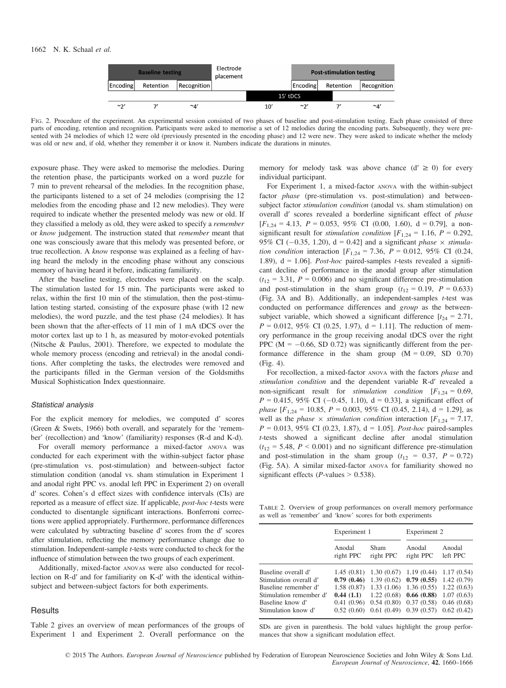

FIG. 2. Procedure of the experiment. An experimental session consisted of two phases of baseline and post-stimulation testing. Each phase consisted of three parts of encoding, retention and recognition. Participants were asked to memorise a set of 12 melodies during the encoding parts. Subsequently, they were presented with 24 melodies of which 12 were old (previously presented in the encoding phase) and 12 were new. They were asked to indicate whether the melody was old or new and, if old, whether they remember it or know it. Numbers indicate the durations in minutes.

exposure phase. They were asked to memorise the melodies. During the retention phase, the participants worked on a word puzzle for 7 min to prevent rehearsal of the melodies. In the recognition phase, the participants listened to a set of 24 melodies (comprising the 12 melodies from the encoding phase and 12 new melodies). They were required to indicate whether the presented melody was new or old. If they classified a melody as old, they were asked to specify a remember or know judgement. The instruction stated that remember meant that one was consciously aware that this melody was presented before, or true recollection. A know response was explained as a feeling of having heard the melody in the encoding phase without any conscious memory of having heard it before, indicating familiarity.

After the baseline testing, electrodes were placed on the scalp. The stimulation lasted for 15 min. The participants were asked to relax, within the first 10 min of the stimulation, then the post-stimulation testing started, consisting of the exposure phase (with 12 new melodies), the word puzzle, and the test phase (24 melodies). It has been shown that the after-effects of 11 min of 1 mA tDCS over the motor cortex last up to 1 h, as measured by motor-evoked potentials (Nitsche & Paulus, 2001). Therefore, we expected to modulate the whole memory process (encoding and retrieval) in the anodal conditions. After completing the tasks, the electrodes were removed and the participants filled in the German version of the Goldsmiths Musical Sophistication Index questionnaire.

#### Statistical analysis

For the explicit memory for melodies, we computed dʹ scores (Green & Swets, 1966) both overall, and separately for the 'remember' (recollection) and 'know' (familiarity) responses (R-d and K-d).

For overall memory performance a mixed-factor ANOVA was conducted for each experiment with the within-subject factor phase (pre-stimulation vs. post-stimulation) and between-subject factor stimulation condition (anodal vs. sham stimulation in Experiment 1 and anodal right PPC vs. anodal left PPC in Experiment 2) on overall dʹ scores. Cohen's d effect sizes with confidence intervals (CIs) are reported as a measure of effect size. If applicable, post-hoc t-tests were conducted to disentangle significant interactions. Bonferroni corrections were applied appropriately. Furthermore, performance differences were calculated by subtracting baseline dʹ scores from the dʹ scores after stimulation, reflecting the memory performance change due to stimulation. Independent-sample t-tests were conducted to check for the influence of stimulation between the two groups of each experiment.

Additionally, mixed-factor ANOVAs were also conducted for recollection on R-dʹ and for familiarity on K-dʹ with the identical withinsubject and between-subject factors for both experiments.

## **Results**

Table 2 gives an overview of mean performances of the groups of Experiment 1 and Experiment 2. Overall performance on the memory for melody task was above chance  $(d' \ge 0)$  for every individual participant.

For Experiment 1, a mixed-factor ANOVA with the within-subject factor *phase* (pre-stimulation vs. post-stimulation) and betweensubject factor stimulation condition (anodal vs. sham stimulation) on overall d' scores revealed a borderline significant effect of phase  $[F_{1,24} = 4.13, P = 0.053, 95\% \text{ CI } (0.00, 1.60), d = 0.79],$  a nonsignificant result for *stimulation condition*  $[F_{1,24} = 1.16, P = 0.292,$ 95% CI (-0.35, 1.20),  $d = 0.42$ ] and a significant *phase*  $\times$  *stimula*tion condition interaction  $[F_{1,24} = 7.36, P = 0.012, 95\% \text{ CI } (0.24,$ 1.89),  $d = 1.06$ ]. *Post-hoc* paired-samples *t*-tests revealed a significant decline of performance in the anodal group after stimulation  $(t_{12} = 3.31, P = 0.006)$  and no significant difference pre-stimulation and post-stimulation in the sham group  $(t_{12} = 0.19, P = 0.633)$ (Fig. 3A and B). Additionally, an independent-samples t-test was conducted on performance differences and group as the betweensubject variable, which showed a significant difference  $[t_{24} = 2.71]$ ,  $P = 0.012, 95\%$  CI (0.25, 1.97),  $d = 1.11$ . The reduction of memory performance in the group receiving anodal tDCS over the right PPC ( $M = -0.66$ , SD 0.72) was significantly different from the performance difference in the sham group  $(M = 0.09, SD 0.70)$ (Fig. 4).

For recollection, a mixed-factor ANOVA with the factors phase and stimulation condition and the dependent variable R-dʹ revealed a non-significant result for *stimulation condition*  $[F_{1,24} = 0.69]$ ,  $P = 0.415$ , 95% CI (-0.45, 1.10), d = 0.33], a significant effect of *phase*  $[F_{1,24} = 10.85, P = 0.003, 95\% \text{ CI } (0.45, 2.14), d = 1.29]$ , as well as the *phase*  $\times$  *stimulation condition* interaction [ $F_{1,24} = 7.17$ ,  $P = 0.013, 95\% \text{ CI } (0.23, 1.87), d = 1.05$ . *Post-hoc* paired-samples t-tests showed a significant decline after anodal stimulation  $(t_{12} = 5.48, P < 0.001)$  and no significant difference pre-stimulation and post-stimulation in the sham group  $(t_{12} = 0.37, P = 0.72)$ (Fig. 5A). A similar mixed-factor ANOVA for familiarity showed no significant effects ( $P$ -values > 0.538).

Table 2. Overview of group performances on overall memory performance as well as 'remember' and 'know' scores for both experiments

|                                                                       | Experiment 1        |                                                                                                                                                               | Experiment 2                                |                    |
|-----------------------------------------------------------------------|---------------------|---------------------------------------------------------------------------------------------------------------------------------------------------------------|---------------------------------------------|--------------------|
|                                                                       | Anodal<br>right PPC | Sham<br>right PPC                                                                                                                                             | Anodal<br>right PPC                         | Anodal<br>left PPC |
| Baseline overall d'<br>Stimulation overall d'<br>Baseline remember d' |                     | $1.45(0.81)$ $1.30(0.67)$ $1.19(0.44)$ $1.17(0.54)$<br>0.79 (0.46) 1.39 (0.62) 0.79 (0.55) 1.42 (0.79)<br>$1.58(0.87)$ $1.33(1.06)$ $1.36(0.55)$ $1.22(0.63)$ |                                             |                    |
| Stimulation remember d'<br>Baseline know d'<br>Stimulation know d'    | 0.44(1.1)           | $0.41(0.96)$ $0.54(0.80)$ $0.37(0.58)$ $0.46(0.68)$<br>$0.52(0.60)$ $0.61(0.49)$ $0.39(0.57)$ $0.62(0.42)$                                                    | $1.22(0.68)$ <b>0.66 (0.88)</b> 1.07 (0.63) |                    |

SDs are given in parenthesis. The bold values highlight the group performances that show a significant modulation effect.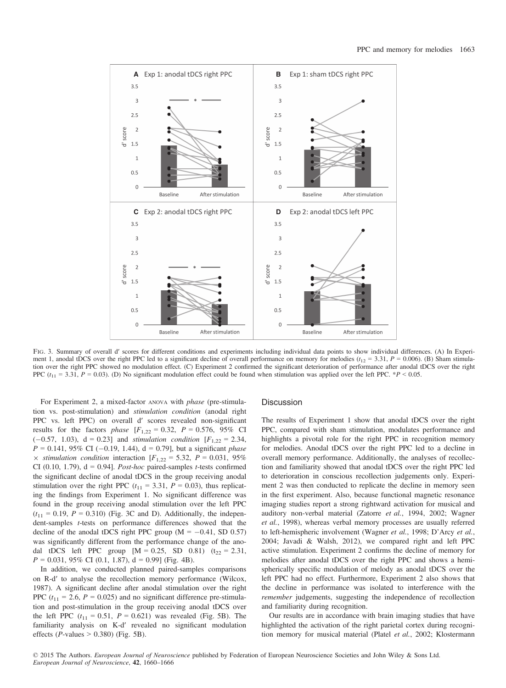

FIG. 3. Summary of overall d' scores for different conditions and experiments including individual data points to show individual differences. (A) In Experiment 1, anodal tDCS over the right PPC led to a significant decline of overall performance on memory for melodies  $(t_{12} = 3.31, P = 0.006)$ . (B) Sham stimulation over the right PPC showed no modulation effect. (C) Experiment 2 confirmed the significant deterioration of performance after anodal tDCS over the right PPC ( $t_{11}$  = 3.31, P = 0.03). (D) No significant modulation effect could be found when stimulation was applied over the left PPC. \*P < 0.05.

For Experiment 2, a mixed-factor ANOVA with *phase* (pre-stimulation vs. post-stimulation) and stimulation condition (anodal right PPC vs. left PPC) on overall d' scores revealed non-significant results for the factors *phase*  $[F_{1,22} = 0.32, P = 0.576, 95\% \text{ CI}$  $(-0.57, 1.03)$ ,  $d = 0.23$ ] and stimulation condition  $[F_{1,22} = 2.34,$  $P = 0.141, 95\% \text{ CI } (-0.19, 1.44), d = 0.79$ , but a significant *phase*  $\times$  stimulation condition interaction  $[F_{1,22} = 5.32, P = 0.031, 95\%$ CI (0.10, 1.79),  $d = 0.94$ ]. *Post-hoc* paired-samples *t*-tests confirmed the significant decline of anodal tDCS in the group receiving anodal stimulation over the right PPC ( $t_{11} = 3.31$ ,  $P = 0.03$ ), thus replicating the findings from Experiment 1. No significant difference was found in the group receiving anodal stimulation over the left PPC  $(t_{11} = 0.19, P = 0.310)$  (Fig. 3C and D). Additionally, the independent-samples t-tests on performance differences showed that the decline of the anodal tDCS right PPC group ( $M = -0.41$ , SD 0.57) was significantly different from the performance change of the anodal tDCS left PPC group  $[M = 0.25, SD \ 0.81)$   $(t_{22} = 2.31,$  $P = 0.031, 95\% \text{ CI } (0.1, 1.87), d = 0.99$  (Fig. 4B).

In addition, we conducted planned paired-samples comparisons on R-dʹ to analyse the recollection memory performance (Wilcox, 1987). A significant decline after anodal stimulation over the right PPC ( $t_{11} = 2.6$ ,  $P = 0.025$ ) and no significant difference pre-stimulation and post-stimulation in the group receiving anodal tDCS over the left PPC  $(t_{11} = 0.51, P = 0.621)$  was revealed (Fig. 5B). The familiarity analysis on K-dʹ revealed no significant modulation effects ( $P$ -values > 0.380) (Fig. 5B).

#### **Discussion**

The results of Experiment 1 show that anodal tDCS over the right PPC, compared with sham stimulation, modulates performance and highlights a pivotal role for the right PPC in recognition memory for melodies. Anodal tDCS over the right PPC led to a decline in overall memory performance. Additionally, the analyses of recollection and familiarity showed that anodal tDCS over the right PPC led to deterioration in conscious recollection judgements only. Experiment 2 was then conducted to replicate the decline in memory seen in the first experiment. Also, because functional magnetic resonance imaging studies report a strong rightward activation for musical and auditory non-verbal material (Zatorre et al., 1994, 2002; Wagner et al., 1998), whereas verbal memory processes are usually referred to left-hemispheric involvement (Wagner et al., 1998; D'Arcy et al., 2004; Javadi & Walsh, 2012), we compared right and left PPC active stimulation. Experiment 2 confirms the decline of memory for melodies after anodal tDCS over the right PPC and shows a hemispherically specific modulation of melody as anodal tDCS over the left PPC had no effect. Furthermore, Experiment 2 also shows that the decline in performance was isolated to interference with the remember judgements, suggesting the independence of recollection and familiarity during recognition.

Our results are in accordance with brain imaging studies that have highlighted the activation of the right parietal cortex during recognition memory for musical material (Platel et al., 2002; Klostermann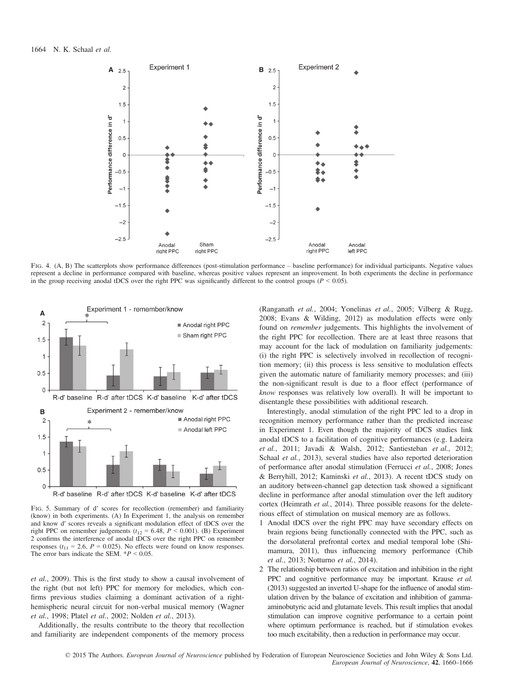

FIG. 4. (A, B) The scatterplots show performance differences (post-stimulation performance – baseline performance) for individual participants. Negative values represent a decline in performance compared with baseline, whereas positive values represent an improvement. In both experiments the decline in performance in the group receiving anodal tDCS over the right PPC was significantly different to the control groups ( $P < 0.05$ ).



Fig. 5. Summary of d<sup>ʹ</sup> scores for recollection (remember) and familiarity (know) in both experiments. (A) In Experiment 1, the analysis on remember and know d' scores reveals a significant modulation effect of tDCS over the right PPC on remember judgements ( $t_{12} = 6.48$ ,  $P < 0.001$ ). (B) Experiment 2 confirms the interference of anodal tDCS over the right PPC on remember responses ( $t_{11} = 2.6$ ,  $P = 0.025$ ). No effects were found on know responses. The error bars indicate the SEM.  $*P < 0.05$ .

et al., 2009). This is the first study to show a causal involvement of the right (but not left) PPC for memory for melodies, which confirms previous studies claiming a dominant activation of a righthemispheric neural circuit for non-verbal musical memory (Wagner et al., 1998; Platel et al., 2002; Nolden et al., 2013).

Additionally, the results contribute to the theory that recollection and familiarity are independent components of the memory process (Ranganath et al., 2004; Yonelinas et al., 2005; Vilberg & Rugg, 2008; Evans & Wilding, 2012) as modulation effects were only found on remember judgements. This highlights the involvement of the right PPC for recollection. There are at least three reasons that may account for the lack of modulation on familiarity judgements: (i) the right PPC is selectively involved in recollection of recognition memory; (ii) this process is less sensitive to modulation effects given the automatic nature of familiarity memory processes; and (iii) the non-significant result is due to a floor effect (performance of know responses was relatively low overall). It will be important to disentangle these possibilities with additional research.

Interestingly, anodal stimulation of the right PPC led to a drop in recognition memory performance rather than the predicted increase in Experiment 1. Even though the majority of tDCS studies link anodal tDCS to a facilitation of cognitive performances (e.g. Ladeira et al., 2011; Javadi & Walsh, 2012; Santiesteban et al., 2012; Schaal et al., 2013), several studies have also reported deterioration of performance after anodal stimulation (Ferrucci et al., 2008; Jones & Berryhill, 2012; Kaminski et al., 2013). A recent tDCS study on an auditory between-channel gap detection task showed a significant decline in performance after anodal stimulation over the left auditory cortex (Heimrath et al., 2014). Three possible reasons for the deleterious effect of stimulation on musical memory are as follows.

- 1 Anodal tDCS over the right PPC may have secondary effects on brain regions being functionally connected with the PPC, such as the dorsolateral prefrontal cortex and medial temporal lobe (Shimamura, 2011), thus influencing memory performance (Chib et al., 2013; Notturno et al., 2014).
- 2 The relationship between ratios of excitation and inhibition in the right PPC and cognitive performance may be important. Krause et al. (2013) suggested an inverted U-shape for the influence of anodal stimulation driven by the balance of excitation and inhibition of gammaaminobutyric acid and glutamate levels. This result implies that anodal stimulation can improve cognitive performance to a certain point where optimum performance is reached, but if stimulation evokes too much excitability, then a reduction in performance may occur.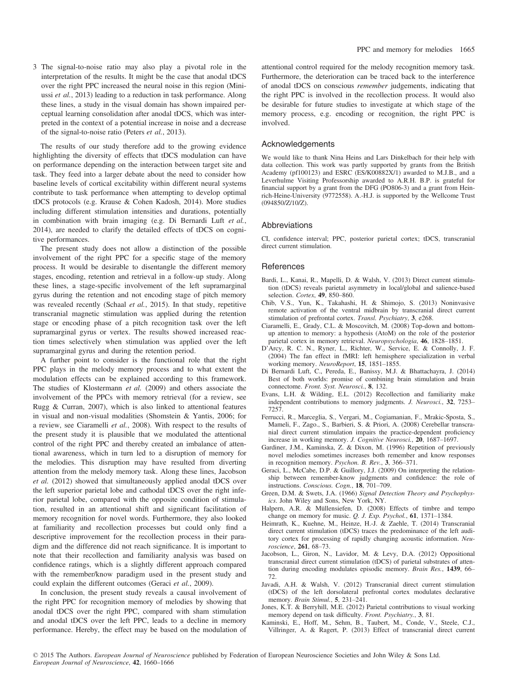3 The signal-to-noise ratio may also play a pivotal role in the interpretation of the results. It might be the case that anodal tDCS over the right PPC increased the neural noise in this region (Miniussi et al., 2013) leading to a reduction in task performance. Along these lines, a study in the visual domain has shown impaired perceptual learning consolidation after anodal tDCS, which was interpreted in the context of a potential increase in noise and a decrease of the signal-to-noise ratio (Peters et al., 2013).

The results of our study therefore add to the growing evidence highlighting the diversity of effects that tDCS modulation can have on performance depending on the interaction between target site and task. They feed into a larger debate about the need to consider how baseline levels of cortical excitability within different neural systems contribute to task performance when attempting to develop optimal tDCS protocols (e.g. Krause & Cohen Kadosh, 2014). More studies including different stimulation intensities and durations, potentially in combination with brain imaging (e.g. Di Bernardi Luft et al., 2014), are needed to clarify the detailed effects of tDCS on cognitive performances.

The present study does not allow a distinction of the possible involvement of the right PPC for a specific stage of the memory process. It would be desirable to disentangle the different memory stages, encoding, retention and retrieval in a follow-up study. Along these lines, a stage-specific involvement of the left supramarginal gyrus during the retention and not encoding stage of pitch memory was revealed recently (Schaal et al., 2015). In that study, repetitive transcranial magnetic stimulation was applied during the retention stage or encoding phase of a pitch recognition task over the left supramarginal gyrus or vertex. The results showed increased reaction times selectively when stimulation was applied over the left supramarginal gyrus and during the retention period.

A further point to consider is the functional role that the right PPC plays in the melody memory process and to what extent the modulation effects can be explained according to this framework. The studies of Klostermann et al. (2009) and others associate the involvement of the PPCs with memory retrieval (for a review, see Rugg & Curran, 2007), which is also linked to attentional features in visual and non-visual modalities (Shomstein & Yantis, 2006; for a review, see Ciaramelli et al., 2008). With respect to the results of the present study it is plausible that we modulated the attentional control of the right PPC and thereby created an imbalance of attentional awareness, which in turn led to a disruption of memory for the melodies. This disruption may have resulted from diverting attention from the melody memory task. Along these lines, Jacobson et al. (2012) showed that simultaneously applied anodal tDCS over the left superior parietal lobe and cathodal tDCS over the right inferior parietal lobe, compared with the opposite condition of stimulation, resulted in an attentional shift and significant facilitation of memory recognition for novel words. Furthermore, they also looked at familiarity and recollection processes but could only find a descriptive improvement for the recollection process in their paradigm and the difference did not reach significance. It is important to note that their recollection and familiarity analysis was based on confidence ratings, which is a slightly different approach compared with the remember/know paradigm used in the present study and could explain the different outcomes (Geraci et al., 2009).

In conclusion, the present study reveals a causal involvement of the right PPC for recognition memory of melodies by showing that anodal tDCS over the right PPC, compared with sham stimulation and anodal tDCS over the left PPC, leads to a decline in memory performance. Hereby, the effect may be based on the modulation of attentional control required for the melody recognition memory task. Furthermore, the deterioration can be traced back to the interference of anodal tDCS on conscious remember judgements, indicating that the right PPC is involved in the recollection process. It would also be desirable for future studies to investigate at which stage of the memory process, e.g. encoding or recognition, the right PPC is involved.

## Acknowledgements

We would like to thank Nina Heins and Lars Dinkelbach for their help with data collection. This work was partly supported by grants from the British Academy (pf100123) and ESRC (ES/K00882X/1) awarded to M.J.B., and a Leverhulme Visiting Professorship awarded to A.R.H. B.P. is grateful for financial support by a grant from the DFG (PO806-3) and a grant from Heinrich-Heine-University (9772558). A.-H.J. is supported by the Wellcome Trust (094850/Z/10/Z).

#### Abbreviations

CI, confidence interval; PPC, posterior parietal cortex; tDCS, transcranial direct current stimulation.

#### References

- Bardi, L., Kanai, R., Mapelli, D. & Walsh, V. (2013) Direct current stimulation (tDCS) reveals parietal asymmetry in local/global and salience-based selection. Cortex, 49, 850–860.
- Chib, V.S., Yun, K., Takahashi, H. & Shimojo, S. (2013) Noninvasive remote activation of the ventral midbrain by transcranial direct current stimulation of prefrontal cortex. Transl. Psychiatry, 3, e268.
- Ciaramelli, E., Grady, C.L. & Moscovitch, M. (2008) Top-down and bottomup attention to memory: a hypothesis (AtoM) on the role of the posterior parietal cortex in memory retrieval. Neuropsychologia, 46, 1828–1851.
- D'Arcy, R. C. N., Ryner, L., Richter, W., Service, E. & Connolly, J. F. (2004) The fan effect in fMRI: left hemisphere specialization in verbal working memory. NeuroReport, 15, 1851–1855.
- Di Bernardi Luft, C., Pereda, E., Banissy, M.J. & Bhattachayra, J. (2014) Best of both worlds: promise of combining brain stimulation and brain connectome. Front. Syst. Neurosci., 8, 132.
- Evans, L.H. & Wilding, E.L. (2012) Recollection and familiarity make independent contributions to memory judgments. J. Neurosci., 32, 7253– 7257.
- Ferrucci, R., Marceglia, S., Vergari, M., Cogiamanian, F., Mrakic-Sposta, S., Mameli, F., Zago., S., Barbieri, S. & Priori, A. (2008) Cerebellar transcranial direct current stimulation impairs the practice-dependent proficiency increase in working memory. J. Cognitive Neurosci., 20, 1687–1697.
- Gardiner, J.M., Kaminska, Z. & Dixon, M. (1996) Repetition of previously novel melodies sometimes increases both remember and know responses in recognition memory. Psychon. B. Rev., 3, 366–371.
- Geraci, L., McCabe, D.P. & Guillory, J.J. (2009) On interpreting the relationship between remember-know judgments and confidence: the role of instructions. Conscious. Cogn., 18, 701–709.
- Green, D.M. & Swets, J.A. (1966) Signal Detection Theory and Psychophysics. John Wiley and Sons, New York, NY.
- Halpern, A.R. & Müllensiefen, D. (2008) Effects of timbre and tempo change on memory for music. Q. J. Exp. Psychol., 61, 1371–1384.
- Heimrath, K., Kuehne, M., Heinze, H.-J. & Zaehle, T. (2014) Transcranial direct current stimulation (tDCS) traces the predominance of the left auditory cortex for processing of rapidly changing acoustic information. Neuroscience, 261, 68–73.
- Jacobson, L., Giron, N., Lavidor, M. & Levy, D.A. (2012) Oppositional transcranial direct current stimulation (tDCS) of parietal substrates of attention during encoding modulates episodic memory. Brain Res., 1439, 66– 72.
- Javadi, A.H. & Walsh, V. (2012) Transcranial direct current stimulation (tDCS) of the left dorsolateral prefrontal cortex modulates declarative memory. Brain Stimul., 5, 231–241.
- Jones, K.T. & Berryhill, M.E. (2012) Parietal contributions to visual working memory depend on task difficulty. Front. Psychiatry., 3, 81.
- Kaminski, E., Hoff, M., Sehm, B., Taubert, M., Conde, V., Steele, C.J., Villringer, A. & Ragert, P. (2013) Effect of transcranial direct current